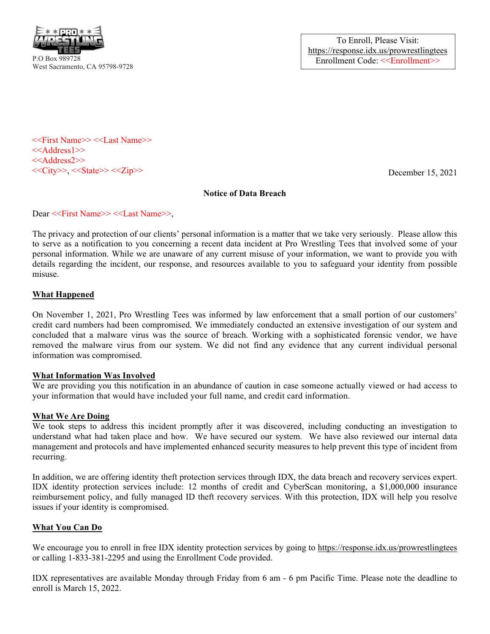

To Enroll, Please Visit: https://response.idx.us/prowrestlingtees Enrollment Code: <<Enrollment>>

<<First Name>> <<Last Name>> <<Address1>> <<Address2>>  $<<$ City>>,  $<<$ State>> $<<$ Zip>>

December 15, 2021

## Notice of Data Breach

Dear <<First Name>> <<Last Name>>,

The privacy and protection of our clients' personal information is a matter that we take very seriously. Please allow this to serve as a notification to you concerning a recent data incident at Pro Wrestling Tees that involved some of your personal information. While we are unaware of any current misuse of your information, we want to provide you with details regarding the incident, our response, and resources available to you to safeguard your identity from possible misuse.

## What Happened

On November 1, 2021, Pro Wrestling Tees was informed by law enforcement that a small portion of our customers' credit card numbers had been compromised. We immediately conducted an extensive investigation of our system and concluded that a malware virus was the source of breach. Working with a sophisticated forensic vendor, we have removed the malware virus from our system. We did not find any evidence that any current individual personal information was compromised.

## What Information Was Involved

We are providing you this notification in an abundance of caution in case someone actually viewed or had access to your information that would have included your full name, and credit card information.

## What We Are Doing

We took steps to address this incident promptly after it was discovered, including conducting an investigation to understand what had taken place and how. We have secured our system. We have also reviewed our internal data management and protocols and have implemented enhanced security measures to help prevent this type of incident from recurring.

In addition, we are offering identity theft protection services through IDX, the data breach and recovery services expert. IDX identity protection services include: 12 months of credit and CyberScan monitoring, a \$1,000,000 insurance reimbursement policy, and fully managed ID theft recovery services. With this protection, IDX will help you resolve issues if your identity is compromised.

# What You Can Do

We encourage you to enroll in free IDX identity protection services by going to<https://response.idx.us/prowrestlingtees> or calling 1-833-381-2295 and using the Enrollment Code provided.

IDX representatives are available Monday through Friday from 6 am - 6 pm Pacific Time. Please note the deadline to enroll is March 15, 2022.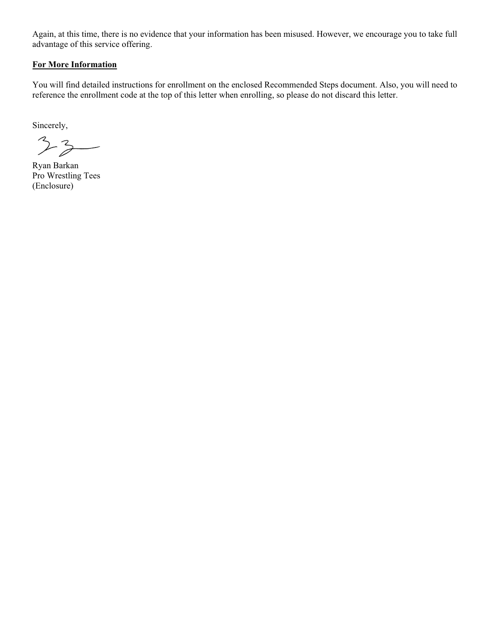Again, at this time, there is no evidence that your information has been misused. However, we encourage you to take full advantage of this service offering.

## For More Information

You will find detailed instructions for enrollment on the enclosed Recommended Steps document. Also, you will need to reference the enrollment code at the top of this letter when enrolling, so please do not discard this letter.

Sincerely,

 $33 -$ 

Ryan Barkan Pro Wrestling Tees (Enclosure)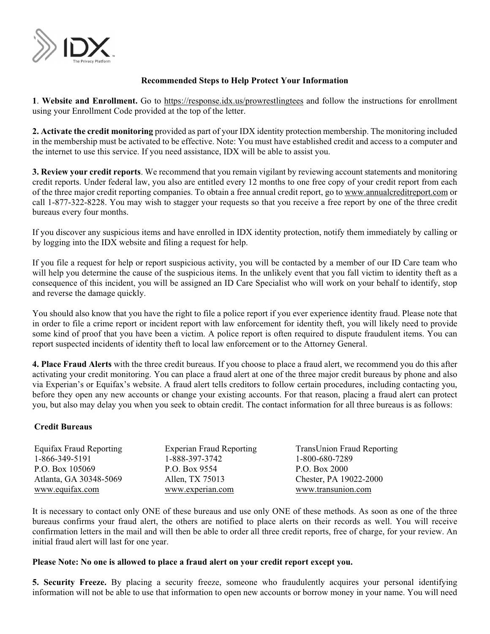

## Recommended Steps to Help Protect Your Information

1. Website and Enrollment. Go to https://response.idx.us/prowrestlingtees and follow the instructions for enrollment using your Enrollment Code provided at the top of the letter.

2. Activate the credit monitoring provided as part of your IDX identity protection membership. The monitoring included in the membership must be activated to be effective. Note: You must have established credit and access to a computer and the internet to use this service. If you need assistance, IDX will be able to assist you.

3. Review your credit reports. We recommend that you remain vigilant by reviewing account statements and monitoring credit reports. Under federal law, you also are entitled every 12 months to one free copy of your credit report from each of the three major credit reporting companies. To obtain a free annual credit report, go to www.annualcreditreport.com or call 1-877-322-8228. You may wish to stagger your requests so that you receive a free report by one of the three credit bureaus every four months.

If you discover any suspicious items and have enrolled in IDX identity protection, notify them immediately by calling or by logging into the IDX website and filing a request for help.

If you file a request for help or report suspicious activity, you will be contacted by a member of our ID Care team who will help you determine the cause of the suspicious items. In the unlikely event that you fall victim to identity theft as a consequence of this incident, you will be assigned an ID Care Specialist who will work on your behalf to identify, stop and reverse the damage quickly.

You should also know that you have the right to file a police report if you ever experience identity fraud. Please note that in order to file a crime report or incident report with law enforcement for identity theft, you will likely need to provide some kind of proof that you have been a victim. A police report is often required to dispute fraudulent items. You can report suspected incidents of identity theft to local law enforcement or to the Attorney General.

4. Place Fraud Alerts with the three credit bureaus. If you choose to place a fraud alert, we recommend you do this after activating your credit monitoring. You can place a fraud alert at one of the three major credit bureaus by phone and also via Experian's or Equifax's website. A fraud alert tells creditors to follow certain procedures, including contacting you, before they open any new accounts or change your existing accounts. For that reason, placing a fraud alert can protect you, but also may delay you when you seek to obtain credit. The contact information for all three bureaus is as follows:

## Credit Bureaus

| Equifax Fraud Reporting | <b>Experian Fraud Reporting</b> | <b>TransUnion Fraud Reporting</b> |
|-------------------------|---------------------------------|-----------------------------------|
| 1-866-349-5191          | 1-888-397-3742                  | 1-800-680-7289                    |
| P.O. Box 105069         | P.O. Box 9554                   | P.O. Box 2000                     |
| Atlanta, GA 30348-5069  | Allen, TX 75013                 | Chester, PA 19022-2000            |
| www.equifax.com         | www.experian.com                | www.transunion.com                |

It is necessary to contact only ONE of these bureaus and use only ONE of these methods. As soon as one of the three bureaus confirms your fraud alert, the others are notified to place alerts on their records as well. You will receive confirmation letters in the mail and will then be able to order all three credit reports, free of charge, for your review. An initial fraud alert will last for one year.

## Please Note: No one is allowed to place a fraud alert on your credit report except you.

5. Security Freeze. By placing a security freeze, someone who fraudulently acquires your personal identifying information will not be able to use that information to open new accounts or borrow money in your name. You will need